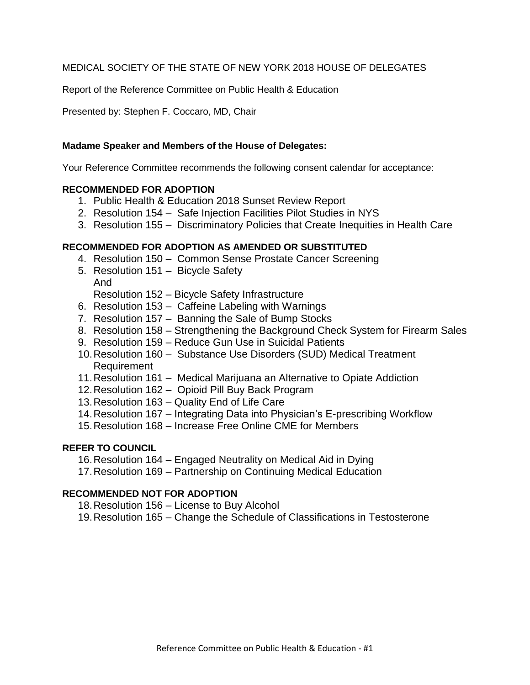#### MEDICAL SOCIETY OF THE STATE OF NEW YORK 2018 HOUSE OF DELEGATES

Report of the Reference Committee on Public Health & Education

Presented by: Stephen F. Coccaro, MD, Chair

#### **Madame Speaker and Members of the House of Delegates:**

Your Reference Committee recommends the following consent calendar for acceptance:

#### **RECOMMENDED FOR ADOPTION**

- 1. Public Health & Education 2018 Sunset Review Report
- 2. Resolution 154 Safe Injection Facilities Pilot Studies in NYS
- 3. Resolution 155 Discriminatory Policies that Create Inequities in Health Care

#### **RECOMMENDED FOR ADOPTION AS AMENDED OR SUBSTITUTED**

- 4. Resolution 150 Common Sense Prostate Cancer Screening
- 5. Resolution 151 Bicycle Safety And
	- Resolution 152 Bicycle Safety Infrastructure
- 6. Resolution 153 Caffeine Labeling with Warnings
- 7. Resolution 157 Banning the Sale of Bump Stocks
- 8. Resolution 158 Strengthening the Background Check System for Firearm Sales
- 9. Resolution 159 Reduce Gun Use in Suicidal Patients
- 10.Resolution 160 Substance Use Disorders (SUD) Medical Treatment Requirement
- 11.Resolution 161 Medical Marijuana an Alternative to Opiate Addiction
- 12.Resolution 162 Opioid Pill Buy Back Program
- 13.Resolution 163 Quality End of Life Care
- 14.Resolution 167 Integrating Data into Physician's E-prescribing Workflow
- 15.Resolution 168 Increase Free Online CME for Members

#### **REFER TO COUNCIL**

- 16.Resolution 164 Engaged Neutrality on Medical Aid in Dying
- 17.Resolution 169 Partnership on Continuing Medical Education

#### **RECOMMENDED NOT FOR ADOPTION**

- 18.Resolution 156 License to Buy Alcohol
- 19.Resolution 165 Change the Schedule of Classifications in Testosterone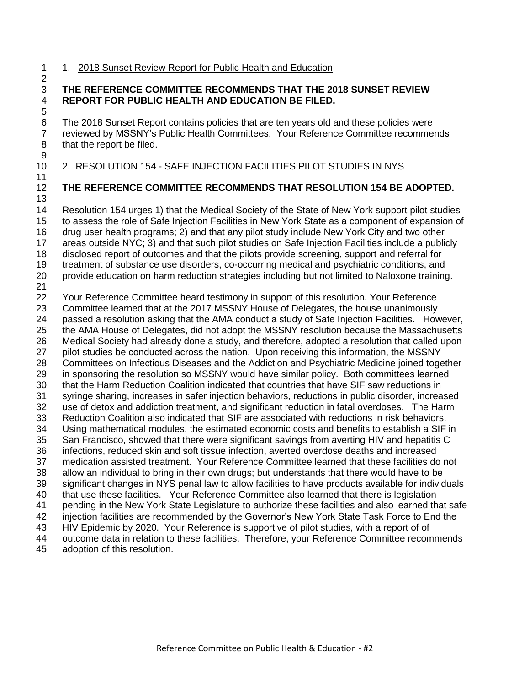1 1. 2018 Sunset Review Report for Public Health and Education 

#### **THE REFERENCE COMMITTEE RECOMMENDS THAT THE 2018 SUNSET REVIEW REPORT FOR PUBLIC HEALTH AND EDUCATION BE FILED.**

 The 2018 Sunset Report contains policies that are ten years old and these policies were reviewed by MSSNY's Public Health Committees. Your Reference Committee recommends that the report be filed.

2. RESOLUTION 154 - SAFE INJECTION FACILITIES PILOT STUDIES IN NYS

## **THE REFERENCE COMMITTEE RECOMMENDS THAT RESOLUTION 154 BE ADOPTED.**

 Resolution 154 urges 1) that the Medical Society of the State of New York support pilot studies to assess the role of Safe Injection Facilities in New York State as a component of expansion of drug user health programs; 2) and that any pilot study include New York City and two other areas outside NYC; 3) and that such pilot studies on Safe Injection Facilities include a publicly disclosed report of outcomes and that the pilots provide screening, support and referral for treatment of substance use disorders, co-occurring medical and psychiatric conditions, and provide education on harm reduction strategies including but not limited to Naloxone training. Your Reference Committee heard testimony in support of this resolution. Your Reference Committee learned that at the 2017 MSSNY House of Delegates, the house unanimously passed a resolution asking that the AMA conduct a study of Safe Injection Facilities. However, the AMA House of Delegates, did not adopt the MSSNY resolution because the Massachusetts Medical Society had already done a study, and therefore, adopted a resolution that called upon pilot studies be conducted across the nation. Upon receiving this information, the MSSNY Committees on Infectious Diseases and the Addiction and Psychiatric Medicine joined together in sponsoring the resolution so MSSNY would have similar policy. Both committees learned that the Harm Reduction Coalition indicated that countries that have SIF saw reductions in syringe sharing, increases in safer injection behaviors, reductions in public disorder, increased use of detox and addiction treatment, and significant reduction in fatal overdoses. The Harm Reduction Coalition also indicated that SIF are associated with reductions in risk behaviors. Using mathematical modules, the estimated economic costs and benefits to establish a SIF in San Francisco, showed that there were significant savings from averting HIV and hepatitis C infections, reduced skin and soft tissue infection, averted overdose deaths and increased medication assisted treatment. Your Reference Committee learned that these facilities do not allow an individual to bring in their own drugs; but understands that there would have to be significant changes in NYS penal law to allow facilities to have products available for individuals that use these facilities. Your Reference Committee also learned that there is legislation pending in the New York State Legislature to authorize these facilities and also learned that safe injection facilities are recommended by the Governor's New York State Task Force to End the HIV Epidemic by 2020. Your Reference is supportive of pilot studies, with a report of of outcome data in relation to these facilities. Therefore, your Reference Committee recommends adoption of this resolution.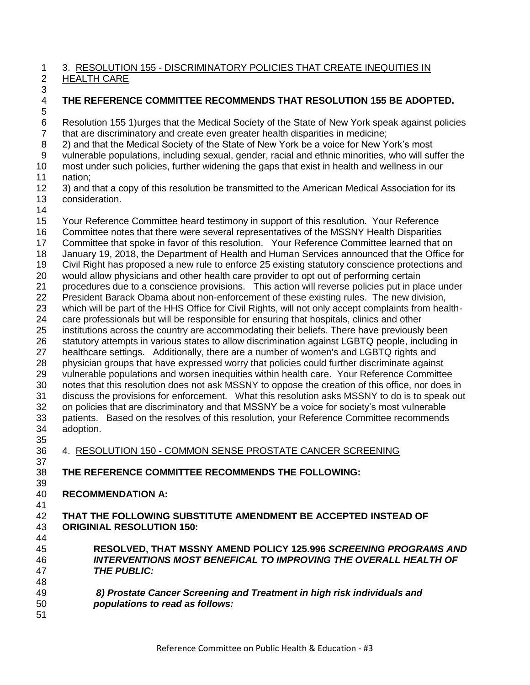#### 3. RESOLUTION 155 - DISCRIMINATORY POLICIES THAT CREATE INEQUITIES IN HEALTH CARE

- -
- 

**THE REFERENCE COMMITTEE RECOMMENDS THAT RESOLUTION 155 BE ADOPTED.**

 Resolution 155 1)urges that the Medical Society of the State of New York speak against policies that are discriminatory and create even greater health disparities in medicine;

2) and that the Medical Society of the State of New York be a voice for New York's most

vulnerable populations, including sexual, gender, racial and ethnic minorities, who will suffer the

 most under such policies, further widening the gaps that exist in health and wellness in our nation;

- 3) and that a copy of this resolution be transmitted to the American Medical Association for its consideration.
- 

Your Reference Committee heard testimony in support of this resolution. Your Reference

Committee notes that there were several representatives of the MSSNY Health Disparities

17 Committee that spoke in favor of this resolution. Your Reference Committee learned that on

January 19, 2018, the Department of Health and Human Services announced that the Office for

Civil Right has proposed a new rule to enforce 25 existing statutory conscience protections and

would allow physicians and other health care provider to opt out of performing certain

procedures due to a conscience provisions. This action will reverse policies put in place under

 President Barack Obama about non-enforcement of these existing rules. The new division, which will be part of the HHS Office for Civil Rights, will not only accept complaints from health-

care professionals but will be responsible for ensuring that hospitals, clinics and other

institutions across the country are accommodating their beliefs. There have previously been

statutory attempts in various states to allow discrimination against LGBTQ people, including in

healthcare settings. Additionally, there are a number of women's and LGBTQ rights and

 physician groups that have expressed worry that policies could further discriminate against vulnerable populations and worsen inequities within health care. Your Reference Committee

 notes that this resolution does not ask MSSNY to oppose the creation of this office, nor does in discuss the provisions for enforcement. What this resolution asks MSSNY to do is to speak out

 on policies that are discriminatory and that MSSNY be a voice for society's most vulnerable patients. Based on the resolves of this resolution, your Reference Committee recommends adoption.

 4. RESOLUTION 150 - COMMON SENSE PROSTATE CANCER SCREENING 

**THE REFERENCE COMMITTEE RECOMMENDS THE FOLLOWING:**

- **RECOMMENDATION A:**
- 

 **THAT THE FOLLOWING SUBSTITUTE AMENDMENT BE ACCEPTED INSTEAD OF ORIGINIAL RESOLUTION 150:**

 **RESOLVED, THAT MSSNY AMEND POLICY 125.996** *SCREENING PROGRAMS AND INTERVENTIONS MOST BENEFICAL TO IMPROVING THE OVERALL HEALTH OF THE PUBLIC:* 

 *8) Prostate Cancer Screening and Treatment in high risk individuals and populations to read as follows:*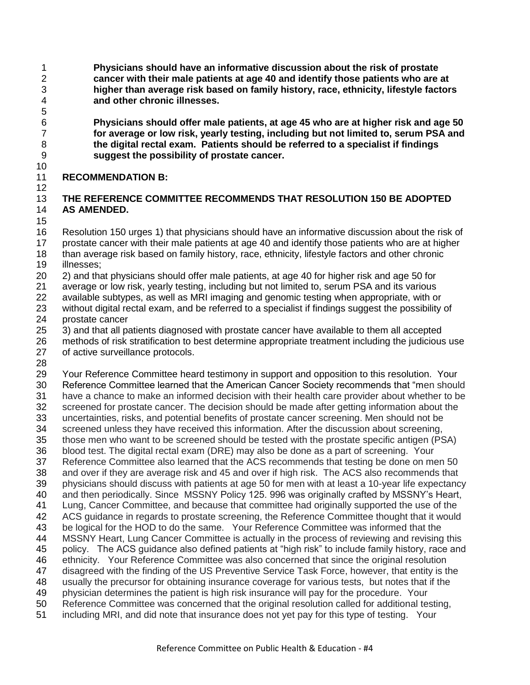**Physicians should have an informative discussion about the risk of prostate cancer with their male patients at age 40 and identify those patients who are at higher than average risk based on family history, race, ethnicity, lifestyle factors and other chronic illnesses.**

 **Physicians should offer male patients, at age 45 who are at higher risk and age 50 for average or low risk, yearly testing, including but not limited to, serum PSA and the digital rectal exam. Patients should be referred to a specialist if findings suggest the possibility of prostate cancer.**

#### **RECOMMENDATION B:**

# **THE REFERENCE COMMITTEE RECOMMENDS THAT RESOLUTION 150 BE ADOPTED**

## **AS AMENDED.**

 Resolution 150 urges 1) that physicians should have an informative discussion about the risk of prostate cancer with their male patients at age 40 and identify those patients who are at higher than average risk based on family history, race, ethnicity, lifestyle factors and other chronic illnesses;

2) and that physicians should offer male patients, at age 40 for higher risk and age 50 for

average or low risk, yearly testing, including but not limited to, serum PSA and its various

available subtypes, as well as MRI imaging and genomic testing when appropriate, with or

 without digital rectal exam, and be referred to a specialist if findings suggest the possibility of prostate cancer

3) and that all patients diagnosed with prostate cancer have available to them all accepted

 methods of risk stratification to best determine appropriate treatment including the judicious use of active surveillance protocols.

 Your Reference Committee heard testimony in support and opposition to this resolution. Your 30 Reference Committee learned that the American Cancer Society recommends that "men should have a chance to make an informed decision with their health care provider about whether to be screened for prostate cancer. The decision should be made after getting information about the uncertainties, risks, and potential benefits of prostate cancer screening. Men should not be screened unless they have received this information. After the discussion about screening, those men who want to be screened should be tested with the prostate specific antigen (PSA) blood test. The digital rectal exam (DRE) may also be done as a part of screening. Your Reference Committee also learned that the ACS recommends that testing be done on men 50 and over if they are average risk and 45 and over if high risk. The ACS also recommends that physicians should discuss with patients at age 50 for men with at least a 10-year life expectancy and then periodically. Since MSSNY Policy 125. 996 was originally crafted by MSSNY's Heart, Lung, Cancer Committee, and because that committee had originally supported the use of the ACS guidance in regards to prostate screening, the Reference Committee thought that it would be logical for the HOD to do the same. Your Reference Committee was informed that the MSSNY Heart, Lung Cancer Committee is actually in the process of reviewing and revising this 45 policy. The ACS guidance also defined patients at "high risk" to include family history, race and ethnicity. Your Reference Committee was also concerned that since the original resolution disagreed with the finding of the US Preventive Service Task Force, however, that entity is the usually the precursor for obtaining insurance coverage for various tests, but notes that if the physician determines the patient is high risk insurance will pay for the procedure. Your Reference Committee was concerned that the original resolution called for additional testing, including MRI, and did note that insurance does not yet pay for this type of testing. Your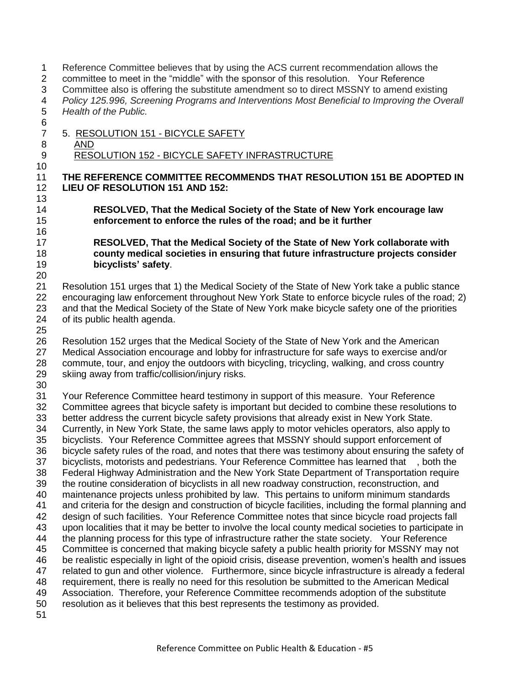Reference Committee believes that by using the ACS current recommendation allows the 2 committee to meet in the "middle" with the sponsor of this resolution. Your Reference Committee also is offering the substitute amendment so to direct MSSNY to amend existing *Policy 125.996, Screening Programs and Interventions Most Beneficial to Improving the Overall Health of the Public.* 5. RESOLUTION 151 - BICYCLE SAFETY AND 9 RESOLUTION 152 - BICYCLE SAFETY INFRASTRUCTURE **THE REFERENCE COMMITTEE RECOMMENDS THAT RESOLUTION 151 BE ADOPTED IN LIEU OF RESOLUTION 151 AND 152: RESOLVED, That the Medical Society of the State of New York encourage law enforcement to enforce the rules of the road; and be it further RESOLVED, That the Medical Society of the State of New York collaborate with county medical societies in ensuring that future infrastructure projects consider bicyclists' safety**. Resolution 151 urges that 1) the Medical Society of the State of New York take a public stance encouraging law enforcement throughout New York State to enforce bicycle rules of the road; 2) and that the Medical Society of the State of New York make bicycle safety one of the priorities of its public health agenda. Resolution 152 urges that the Medical Society of the State of New York and the American Medical Association encourage and lobby for infrastructure for safe ways to exercise and/or commute, tour, and enjoy the outdoors with bicycling, tricycling, walking, and cross country skiing away from traffic/collision/injury risks. Your Reference Committee heard testimony in support of this measure. Your Reference Committee agrees that bicycle safety is important but decided to combine these resolutions to better address the current bicycle safety provisions that already exist in New York State. Currently, in New York State, the same laws apply to motor vehicles operators, also apply to bicyclists. Your Reference Committee agrees that MSSNY should support enforcement of bicycle safety rules of the road, and notes that there was testimony about ensuring the safety of bicyclists, motorists and pedestrians. Your Reference Committee has learned that , both the Federal Highway Administration and the New York State Department of Transportation require the routine consideration of bicyclists in all new roadway construction, reconstruction, and maintenance projects unless prohibited by law. This pertains to uniform minimum standards and criteria for the design and construction of bicycle facilities, including the formal planning and design of such facilities. Your Reference Committee notes that since bicycle road projects fall upon localities that it may be better to involve the local county medical societies to participate in the planning process for this type of infrastructure rather the state society. Your Reference Committee is concerned that making bicycle safety a public health priority for MSSNY may not be realistic especially in light of the opioid crisis, disease prevention, women's health and issues related to gun and other violence. Furthermore, since bicycle infrastructure is already a federal requirement, there is really no need for this resolution be submitted to the American Medical Association. Therefore, your Reference Committee recommends adoption of the substitute resolution as it believes that this best represents the testimony as provided.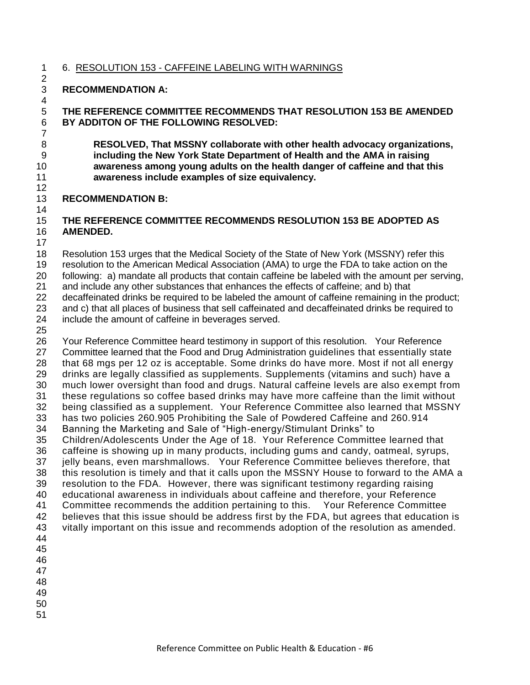#### 6. RESOLUTION 153 - CAFFEINE LABELING WITH WARNINGS

#### **RECOMMENDATION A:**

 **THE REFERENCE COMMITTEE RECOMMENDS THAT RESOLUTION 153 BE AMENDED BY ADDITON OF THE FOLLOWING RESOLVED:**

 **RESOLVED, That MSSNY collaborate with other health advocacy organizations, including the New York State Department of Health and the AMA in raising awareness among young adults on the health danger of caffeine and that this awareness include examples of size equivalency.**

### **RECOMMENDATION B:**

### **THE REFERENCE COMMITTEE RECOMMENDS RESOLUTION 153 BE ADOPTED AS AMENDED.**

Resolution 153 urges that the Medical Society of the State of New York (MSSNY) refer this

resolution to the American Medical Association (AMA) to urge the FDA to take action on the

following: a) mandate all products that contain caffeine be labeled with the amount per serving,

and include any other substances that enhances the effects of caffeine; and b) that

decaffeinated drinks be required to be labeled the amount of caffeine remaining in the product;

and c) that all places of business that sell caffeinated and decaffeinated drinks be required to

- include the amount of caffeine in beverages served.
- 

 Your Reference Committee heard testimony in support of this resolution. Your Reference Committee learned that the Food and Drug Administration guidelines that essentially state that 68 mgs per 12 oz is acceptable. Some drinks do have more. Most if not all energy drinks are legally classified as supplements. Supplements (vitamins and such) have a much lower oversight than food and drugs. Natural caffeine levels are also exempt from these regulations so coffee based drinks may have more caffeine than the limit without being classified as a supplement. Your Reference Committee also learned that MSSNY has two policies 260.905 Prohibiting the Sale of Powdered Caffeine and 260.914 34 Banning the Marketing and Sale of "High-energy/Stimulant Drinks" to Children/Adolescents Under the Age of 18. Your Reference Committee learned that caffeine is showing up in many products, including gums and candy, oatmeal, syrups, jelly beans, even marshmallows. Your Reference Committee believes therefore, that this resolution is timely and that it calls upon the MSSNY House to forward to the AMA a resolution to the FDA. However, there was significant testimony regarding raising educational awareness in individuals about caffeine and therefore, your Reference Committee recommends the addition pertaining to this. Your Reference Committee believes that this issue should be address first by the FDA, but agrees that education is vitally important on this issue and recommends adoption of the resolution as amended. 

- 
- 
-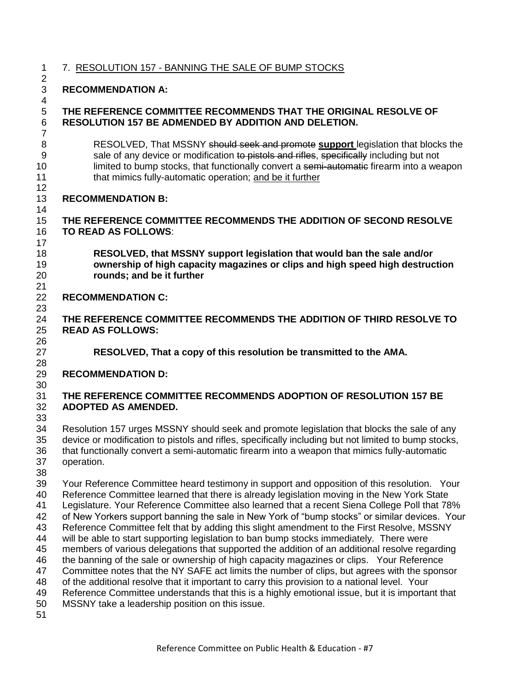7. RESOLUTION 157 - BANNING THE SALE OF BUMP STOCKS 

**RECOMMENDATION A:** 

#### **THE REFERENCE COMMITTEE RECOMMENDS THAT THE ORIGINAL RESOLVE OF RESOLUTION 157 BE ADMENDED BY ADDITION AND DELETION.**

 RESOLVED, That MSSNY should seek and promote **support** legislation that blocks the 9 sale of any device or modification to pistols and rifles, specifically including but not 10 limited to bump stocks, that functionally convert a semi-automatic firearm into a weapon that mimics fully-automatic operation; and be it further

# **RECOMMENDATION B:**

#### **THE REFERENCE COMMITTEE RECOMMENDS THE ADDITION OF SECOND RESOLVE TO READ AS FOLLOWS**:

 **RESOLVED, that MSSNY support legislation that would ban the sale and/or ownership of high capacity magazines or clips and high speed high destruction rounds; and be it further**

## **RECOMMENDATION C:**

 **THE REFERENCE COMMITTEE RECOMMENDS THE ADDITION OF THIRD RESOLVE TO READ AS FOLLOWS:**

**RESOLVED, That a copy of this resolution be transmitted to the AMA.**

## **RECOMMENDATION D:**

### **THE REFERENCE COMMITTEE RECOMMENDS ADOPTION OF RESOLUTION 157 BE ADOPTED AS AMENDED.**

 Resolution 157 urges MSSNY should seek and promote legislation that blocks the sale of any device or modification to pistols and rifles, specifically including but not limited to bump stocks, that functionally convert a semi-automatic firearm into a weapon that mimics fully-automatic operation.

 Your Reference Committee heard testimony in support and opposition of this resolution. Your Reference Committee learned that there is already legislation moving in the New York State Legislature. Your Reference Committee also learned that a recent Siena College Poll that 78% 42 of New Yorkers support banning the sale in New York of "bump stocks" or similar devices. Your Reference Committee felt that by adding this slight amendment to the First Resolve, MSSNY will be able to start supporting legislation to ban bump stocks immediately. There were members of various delegations that supported the addition of an additional resolve regarding the banning of the sale or ownership of high capacity magazines or clips. Your Reference 47 Committee notes that the NY SAFE act limits the number of clips, but agrees with the sponsor of the additional resolve that it important to carry this provision to a national level. Your Reference Committee understands that this is a highly emotional issue, but it is important that MSSNY take a leadership position on this issue.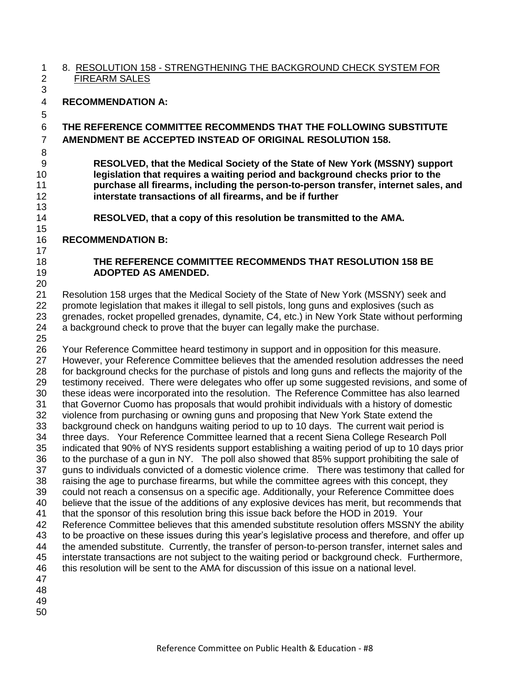#### 8. RESOLUTION 158 - STRENGTHENING THE BACKGROUND CHECK SYSTEM FOR FIREARM SALES

# **RECOMMENDATION A:**

# **THE REFERENCE COMMITTEE RECOMMENDS THAT THE FOLLOWING SUBSTITUTE AMENDMENT BE ACCEPTED INSTEAD OF ORIGINAL RESOLUTION 158.**

 **RESOLVED, that the Medical Society of the State of New York (MSSNY) support legislation that requires a waiting period and background checks prior to the purchase all firearms, including the person-to-person transfer, internet sales, and interstate transactions of all firearms, and be if further** 

**RESOLVED, that a copy of this resolution be transmitted to the AMA.**

# **RECOMMENDATION B:**

## **THE REFERENCE COMMITTEE RECOMMENDS THAT RESOLUTION 158 BE ADOPTED AS AMENDED.**

 Resolution 158 urges that the Medical Society of the State of New York (MSSNY) seek and promote legislation that makes it illegal to sell pistols, long guns and explosives (such as grenades, rocket propelled grenades, dynamite, C4, etc.) in New York State without performing a background check to prove that the buyer can legally make the purchase. 

 Your Reference Committee heard testimony in support and in opposition for this measure. However, your Reference Committee believes that the amended resolution addresses the need 28 for background checks for the purchase of pistols and long guns and reflects the majority of the 29 testimony received. There were delegates who offer up some suggested revisions, and some of these ideas were incorporated into the resolution. The Reference Committee has also learned that Governor Cuomo has proposals that would prohibit individuals with a history of domestic violence from purchasing or owning guns and proposing that New York State extend the background check on handguns waiting period to up to 10 days. The current wait period is three days. Your Reference Committee learned that a recent Siena College Research Poll indicated that 90% of NYS residents support establishing a waiting period of up to 10 days prior to the purchase of a gun in NY. The poll also showed that 85% support prohibiting the sale of guns to individuals convicted of a domestic violence crime. There was testimony that called for raising the age to purchase firearms, but while the committee agrees with this concept, they could not reach a consensus on a specific age. Additionally, your Reference Committee does believe that the issue of the additions of any explosive devices has merit, but recommends that that the sponsor of this resolution bring this issue back before the HOD in 2019. Your Reference Committee believes that this amended substitute resolution offers MSSNY the ability to be proactive on these issues during this year's legislative process and therefore, and offer up the amended substitute. Currently, the transfer of person-to-person transfer, internet sales and interstate transactions are not subject to the waiting period or background check. Furthermore, this resolution will be sent to the AMA for discussion of this issue on a national level. 

- 
-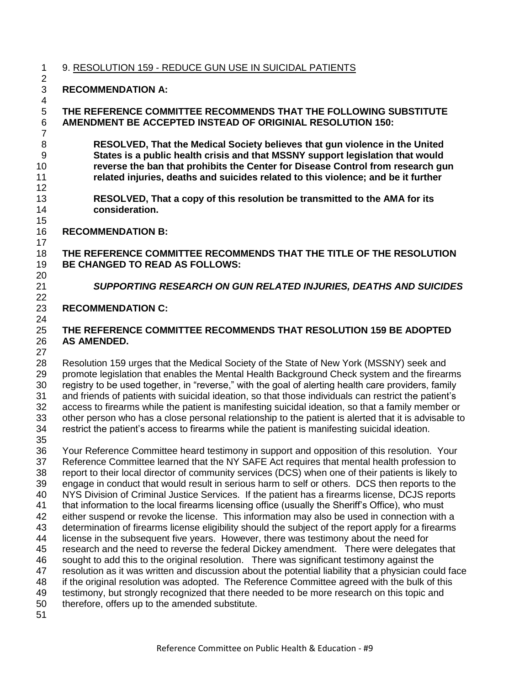9. RESOLUTION 159 - REDUCE GUN USE IN SUICIDAL PATIENTS 

## **RECOMMENDATION A:**

### **THE REFERENCE COMMITTEE RECOMMENDS THAT THE FOLLOWING SUBSTITUTE AMENDMENT BE ACCEPTED INSTEAD OF ORIGINIAL RESOLUTION 150:**

 **RESOLVED, That the Medical Society believes that gun violence in the United States is a public health crisis and that MSSNY support legislation that would reverse the ban that prohibits the Center for Disease Control from research gun related injuries, deaths and suicides related to this violence; and be it further**

- **RESOLVED, That a copy of this resolution be transmitted to the AMA for its consideration.**
- **RECOMMENDATION B:**

#### **THE REFERENCE COMMITTEE RECOMMENDS THAT THE TITLE OF THE RESOLUTION BE CHANGED TO READ AS FOLLOWS:**

# *SUPPORTING RESEARCH ON GUN RELATED INJURIES, DEATHS AND SUICIDES*

#### **RECOMMENDATION C:**

## **THE REFERENCE COMMITTEE RECOMMENDS THAT RESOLUTION 159 BE ADOPTED AS AMENDED.**

 Resolution 159 urges that the Medical Society of the State of New York (MSSNY) seek and promote legislation that enables the Mental Health Background Check system and the firearms 30 registry to be used together, in "reverse," with the goal of alerting health care providers, family and friends of patients with suicidal ideation, so that those individuals can restrict the patient's access to firearms while the patient is manifesting suicidal ideation, so that a family member or other person who has a close personal relationship to the patient is alerted that it is advisable to restrict the patient's access to firearms while the patient is manifesting suicidal ideation.

 Your Reference Committee heard testimony in support and opposition of this resolution. Your Reference Committee learned that the NY SAFE Act requires that mental health profession to report to their local director of community services (DCS) when one of their patients is likely to engage in conduct that would result in serious harm to self or others. DCS then reports to the NYS Division of Criminal Justice Services. If the patient has a firearms license, DCJS reports that information to the local firearms licensing office (usually the Sheriff's Office), who must either suspend or revoke the license. This information may also be used in connection with a determination of firearms license eligibility should the subject of the report apply for a firearms license in the subsequent five years. However, there was testimony about the need for research and the need to reverse the federal Dickey amendment. There were delegates that sought to add this to the original resolution. There was significant testimony against the resolution as it was written and discussion about the potential liability that a physician could face if the original resolution was adopted. The Reference Committee agreed with the bulk of this testimony, but strongly recognized that there needed to be more research on this topic and therefore, offers up to the amended substitute.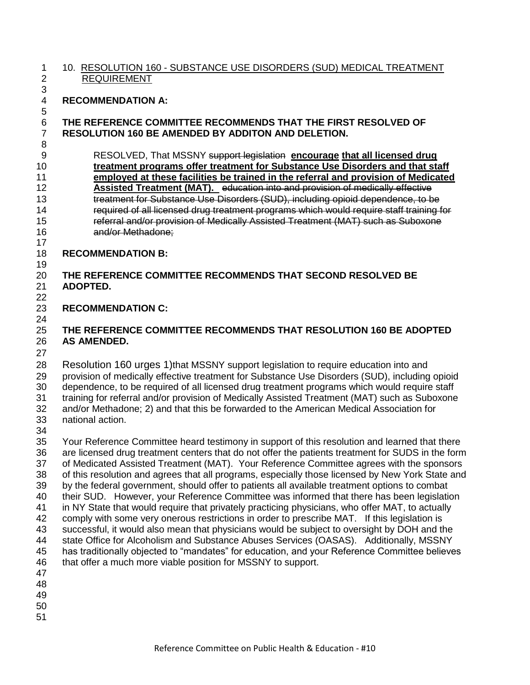#### 10. RESOLUTION 160 - SUBSTANCE USE DISORDERS (SUD) MEDICAL TREATMENT REQUIREMENT

# 

## **RECOMMENDATION A:**

## **THE REFERENCE COMMITTEE RECOMMENDS THAT THE FIRST RESOLVED OF RESOLUTION 160 BE AMENDED BY ADDITON AND DELETION.**

 RESOLVED, That MSSNY support legislation **encourage that all licensed drug treatment programs offer treatment for Substance Use Disorders and that staff employed at these facilities be trained in the referral and provision of Medicated Assisted Treatment (MAT).** education into and provision of medically effective treatment for Substance Use Disorders (SUD), including opioid dependence, to be required of all licensed drug treatment programs which would require staff training for referral and/or provision of Medically Assisted Treatment (MAT) such as Suboxone and/or Methadone;

**RECOMMENDATION B:**

#### **THE REFERENCE COMMITTEE RECOMMENDS THAT SECOND RESOLVED BE ADOPTED.**

#### **RECOMMENDATION C:**

# **THE REFERENCE COMMITTEE RECOMMENDS THAT RESOLUTION 160 BE ADOPTED AS AMENDED.**

 Resolution 160 urges 1)that MSSNY support legislation to require education into and provision of medically effective treatment for Substance Use Disorders (SUD), including opioid dependence, to be required of all licensed drug treatment programs which would require staff training for referral and/or provision of Medically Assisted Treatment (MAT) such as Suboxone and/or Methadone; 2) and that this be forwarded to the American Medical Association for national action.

 Your Reference Committee heard testimony in support of this resolution and learned that there are licensed drug treatment centers that do not offer the patients treatment for SUDS in the form of Medicated Assisted Treatment (MAT). Your Reference Committee agrees with the sponsors of this resolution and agrees that all programs, especially those licensed by New York State and by the federal government, should offer to patients all available treatment options to combat their SUD. However, your Reference Committee was informed that there has been legislation in NY State that would require that privately practicing physicians, who offer MAT, to actually comply with some very onerous restrictions in order to prescribe MAT. If this legislation is successful, it would also mean that physicians would be subject to oversight by DOH and the state Office for Alcoholism and Substance Abuses Services (OASAS). Additionally, MSSNY 45 has traditionally objected to "mandates" for education, and your Reference Committee believes that offer a much more viable position for MSSNY to support. 

- 
- 
-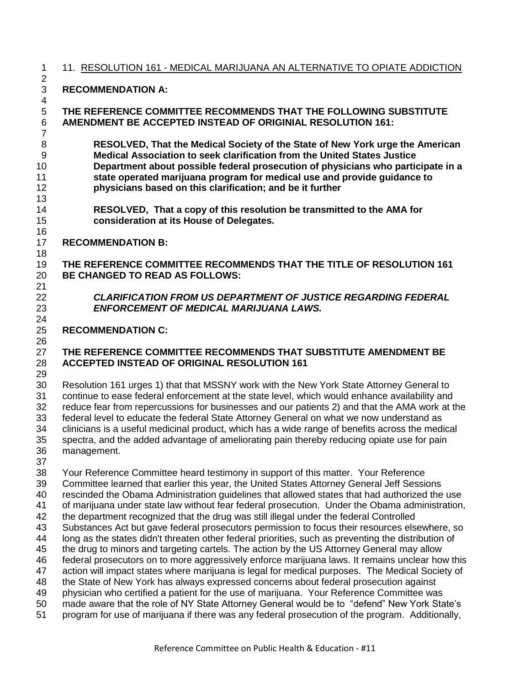## 11. RESOLUTION 161 - MEDICAL MARIJUANA AN ALTERNATIVE TO OPIATE ADDICTION

### **RECOMMENDATION A:**

 **THE REFERENCE COMMITTEE RECOMMENDS THAT THE FOLLOWING SUBSTITUTE AMENDMENT BE ACCEPTED INSTEAD OF ORIGINIAL RESOLUTION 161:**

 **RESOLVED, That the Medical Society of the State of New York urge the American Medical Association to seek clarification from the United States Justice Department about possible federal prosecution of physicians who participate in a state operated marijuana program for medical use and provide guidance to physicians based on this clarification; and be it further** 

 **RESOLVED, That a copy of this resolution be transmitted to the AMA for consideration at its House of Delegates.**

### **RECOMMENDATION B:**

 **THE REFERENCE COMMITTEE RECOMMENDS THAT THE TITLE OF RESOLUTION 161 BE CHANGED TO READ AS FOLLOWS:**

 *CLARIFICATION FROM US DEPARTMENT OF JUSTICE REGARDING FEDERAL ENFORCEMENT OF MEDICAL MARIJUANA LAWS.* 

### **RECOMMENDATION C:**

### **THE REFERENCE COMMITTEE RECOMMENDS THAT SUBSTITUTE AMENDMENT BE ACCEPTED INSTEAD OF ORIGINAL RESOLUTION 161**

 Resolution 161 urges 1) that that MSSNY work with the New York State Attorney General to continue to ease federal enforcement at the state level, which would enhance availability and reduce fear from repercussions for businesses and our patients 2) and that the AMA work at the federal level to educate the federal State Attorney General on what we now understand as clinicians is a useful medicinal product, which has a wide range of benefits across the medical spectra, and the added advantage of ameliorating pain thereby reducing opiate use for pain management.

 Your Reference Committee heard testimony in support of this matter. Your Reference Committee learned that earlier this year, the United States Attorney General Jeff Sessions rescinded the Obama Administration guidelines that allowed states that had authorized the use of marijuana under state law without fear federal prosecution. Under the Obama administration, the department recognized that the drug was still illegal under the federal Controlled Substances Act but gave federal prosecutors permission to focus their resources elsewhere, so long as the states didn't threaten other federal priorities, such as preventing the distribution of the drug to minors and targeting cartels. The action by the US Attorney General may allow federal prosecutors on to more aggressively enforce marijuana laws. It remains unclear how this action will impact states where marijuana is legal for medical purposes. The Medical Society of the State of New York has always expressed concerns about federal prosecution against physician who certified a patient for the use of marijuana. Your Reference Committee was 50 made aware that the role of NY State Attorney General would be to "defend" New York State's program for use of marijuana if there was any federal prosecution of the program. Additionally,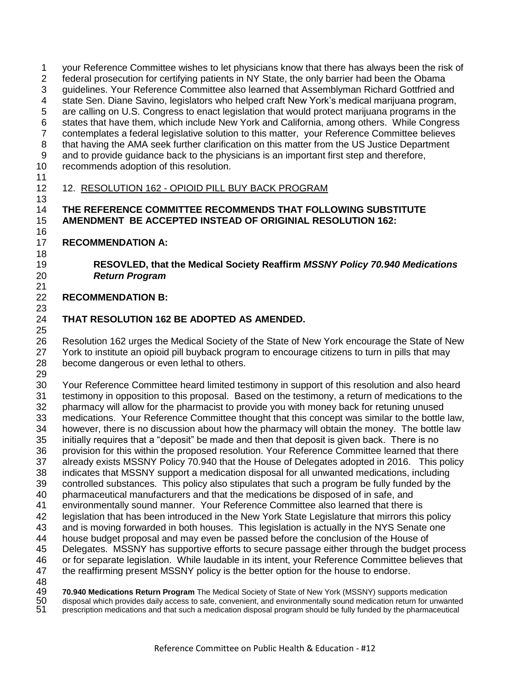your Reference Committee wishes to let physicians know that there has always been the risk of federal prosecution for certifying patients in NY State, the only barrier had been the Obama guidelines. Your Reference Committee also learned that Assemblyman Richard Gottfried and state Sen. Diane Savino, legislators who helped craft New York's medical marijuana program, are calling on U.S. Congress to enact legislation that would protect marijuana programs in the states that have them, which include New York and California, among others. While Congress contemplates a federal legislative solution to this matter, your Reference Committee believes 8 that having the AMA seek further clarification on this matter from the US Justice Department and to provide guidance back to the physicians is an important first step and therefore, recommends adoption of this resolution.

# 12. RESOLUTION 162 - OPIOID PILL BUY BACK PROGRAM

## **THE REFERENCE COMMITTEE RECOMMENDS THAT FOLLOWING SUBSTITUTE AMENDMENT BE ACCEPTED INSTEAD OF ORIGINIAL RESOLUTION 162:**

## **RECOMMENDATION A:**

## **RESOVLED, that the Medical Society Reaffirm** *MSSNY Policy 70.940 Medications Return Program*

#### **RECOMMENDATION B:**

# **THAT RESOLUTION 162 BE ADOPTED AS AMENDED.**

 Resolution 162 urges the Medical Society of the State of New York encourage the State of New 27 York to institute an opioid pill buyback program to encourage citizens to turn in pills that may become dangerous or even lethal to others.

 Your Reference Committee heard limited testimony in support of this resolution and also heard testimony in opposition to this proposal. Based on the testimony, a return of medications to the pharmacy will allow for the pharmacist to provide you with money back for retuning unused medications. Your Reference Committee thought that this concept was similar to the bottle law, however, there is no discussion about how the pharmacy will obtain the money. The bottle law 35 initially requires that a "deposit" be made and then that deposit is given back. There is no provision for this within the proposed resolution. Your Reference Committee learned that there already exists MSSNY Policy 70.940 that the House of Delegates adopted in 2016. This policy indicates that MSSNY support a medication disposal for all unwanted medications, including controlled substances. This policy also stipulates that such a program be fully funded by the pharmaceutical manufacturers and that the medications be disposed of in safe, and environmentally sound manner. Your Reference Committee also learned that there is legislation that has been introduced in the New York State Legislature that mirrors this policy and is moving forwarded in both houses. This legislation is actually in the NYS Senate one house budget proposal and may even be passed before the conclusion of the House of Delegates. MSSNY has supportive efforts to secure passage either through the budget process or for separate legislation. While laudable in its intent, your Reference Committee believes that the reaffirming present MSSNY policy is the better option for the house to endorse. 48<br>49

**70.940 Medications Return Program** The Medical Society of State of New York (MSSNY) supports medication<br>50 disposal which provides daily access to safe, convenient, and environmentally sound medication return for unwar<br>51 disposal which provides daily access to safe, convenient, and environmentally sound medication return for unwanted

prescription medications and that such a medication disposal program should be fully funded by the pharmaceutical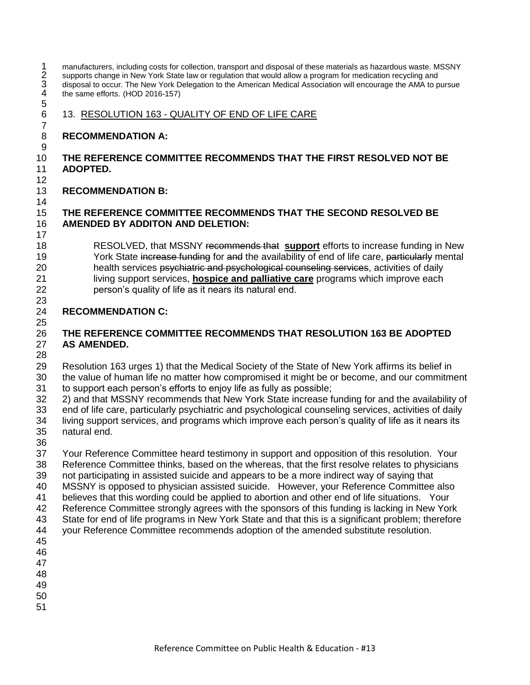1 manufacturers, including costs for collection, transport and disposal of these materials as hazardous waste. MSSNY<br>
2 supports change in New York State law or regulation that would allow a program for medication recyclin supports change in New York State law or regulation that would allow a program for medication recycling and disposal to occur. The New York Delegation to the American Medical Association will encourage the AMA to pursue the same efforts. (HOD 2016-157) 

13. RESOLUTION 163 - QUALITY OF END OF LIFE CARE

## **RECOMMENDATION A:**

#### **THE REFERENCE COMMITTEE RECOMMENDS THAT THE FIRST RESOLVED NOT BE ADOPTED.**

**RECOMMENDATION B:**

#### **THE REFERENCE COMMITTEE RECOMMENDS THAT THE SECOND RESOLVED BE AMENDED BY ADDITON AND DELETION:**

 RESOLVED, that MSSNY recommends that **support** efforts to increase funding in New 19 York State increase funding for and the availability of end of life care, particularly mental 20 health services psychiatric and psychological counseling services, activities of daily living support services, **hospice and palliative care** programs which improve each person's quality of life as it nears its natural end.

#### **RECOMMENDATION C:**

### **THE REFERENCE COMMITTEE RECOMMENDS THAT RESOLUTION 163 BE ADOPTED AS AMENDED.**

 Resolution 163 urges 1) that the Medical Society of the State of New York affirms its belief in the value of human life no matter how compromised it might be or become, and our commitment to support each person's efforts to enjoy life as fully as possible;

 2) and that MSSNY recommends that New York State increase funding for and the availability of end of life care, particularly psychiatric and psychological counseling services, activities of daily living support services, and programs which improve each person's quality of life as it nears its

 natural end. 

 Your Reference Committee heard testimony in support and opposition of this resolution. Your Reference Committee thinks, based on the whereas, that the first resolve relates to physicians not participating in assisted suicide and appears to be a more indirect way of saying that MSSNY is opposed to physician assisted suicide. However, your Reference Committee also believes that this wording could be applied to abortion and other end of life situations. Your Reference Committee strongly agrees with the sponsors of this funding is lacking in New York State for end of life programs in New York State and that this is a significant problem; therefore your Reference Committee recommends adoption of the amended substitute resolution. 

- 
- 
- 
- 
-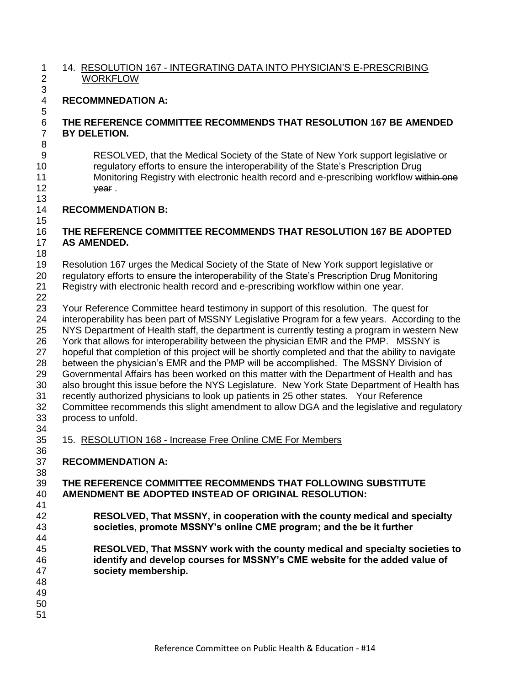#### 14. RESOLUTION 167 - INTEGRATING DATA INTO PHYSICIAN'S E-PRESCRIBING WORKFLOW

## **RECOMMNEDATION A:**

#### **THE REFERENCE COMMITTEE RECOMMENDS THAT RESOLUTION 167 BE AMENDED BY DELETION.**

 RESOLVED, that the Medical Society of the State of New York support legislative or regulatory efforts to ensure the interoperability of the State's Prescription Drug 11 Monitoring Registry with electronic health record and e-prescribing workflow within one 12 year.

### **RECOMMENDATION B:**

### **THE REFERENCE COMMITTEE RECOMMENDS THAT RESOLUTION 167 BE ADOPTED AS AMENDED.**

 Resolution 167 urges the Medical Society of the State of New York support legislative or regulatory efforts to ensure the interoperability of the State's Prescription Drug Monitoring Registry with electronic health record and e-prescribing workflow within one year.

## 

 Your Reference Committee heard testimony in support of this resolution. The quest for interoperability has been part of MSSNY Legislative Program for a few years. According to the NYS Department of Health staff, the department is currently testing a program in western New York that allows for interoperability between the physician EMR and the PMP. MSSNY is hopeful that completion of this project will be shortly completed and that the ability to navigate between the physician's EMR and the PMP will be accomplished. The MSSNY Division of Governmental Affairs has been worked on this matter with the Department of Health and has also brought this issue before the NYS Legislature. New York State Department of Health has recently authorized physicians to look up patients in 25 other states. Your Reference Committee recommends this slight amendment to allow DGA and the legislative and regulatory process to unfold.

15. RESOLUTION 168 - Increase Free Online CME For Members

**RECOMMENDATION A:** 

#### **THE REFERENCE COMMITTEE RECOMMENDS THAT FOLLOWING SUBSTITUTE AMENDMENT BE ADOPTED INSTEAD OF ORIGINAL RESOLUTION:**

- **RESOLVED, That MSSNY, in cooperation with the county medical and specialty societies, promote MSSNY's online CME program; and the be it further**
- **RESOLVED, That MSSNY work with the county medical and specialty societies to identify and develop courses for MSSNY's CME website for the added value of society membership.**
- 

- 
-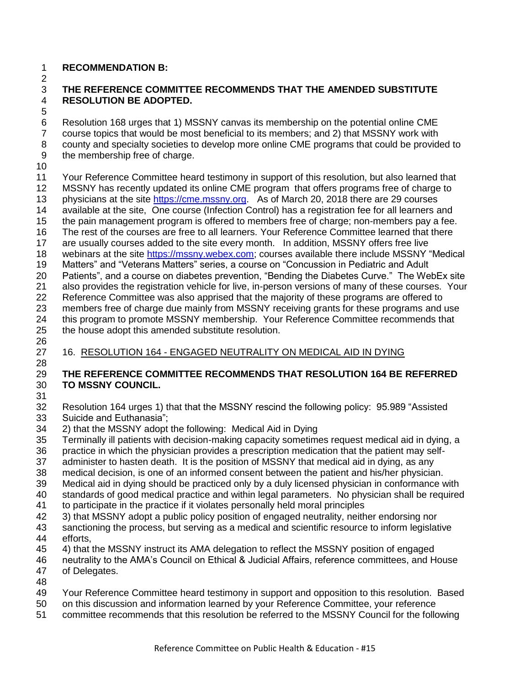## **RECOMMENDATION B:**

## 

#### **THE REFERENCE COMMITTEE RECOMMENDS THAT THE AMENDED SUBSTITUTE RESOLUTION BE ADOPTED.**

 Resolution 168 urges that 1) MSSNY canvas its membership on the potential online CME course topics that would be most beneficial to its members; and 2) that MSSNY work with county and specialty societies to develop more online CME programs that could be provided to the membership free of charge.

## 

 Your Reference Committee heard testimony in support of this resolution, but also learned that MSSNY has recently updated its online CME program that offers programs free of charge to 13 physicians at the site [https://cme.mssny.org.](https://cme.mssny.org/) As of March 20, 2018 there are 29 courses available at the site, One course (Infection Control) has a registration fee for all learners and the pain management program is offered to members free of charge; non-members pay a fee. The rest of the courses are free to all learners. Your Reference Committee learned that there are usually courses added to the site every month. In addition, MSSNY offers free live 18 webinars at the site [https://mssny.webex.com;](https://mssny.webex.com/) courses available there include MSSNY "Medical 19 Matters" and "Veterans Matters" series, a course on "Concussion in Pediatric and Adult 20 Patients", and a course on diabetes prevention, "Bending the Diabetes Curve." The WebEx site also provides the registration vehicle for live, in-person versions of many of these courses. Your Reference Committee was also apprised that the majority of these programs are offered to members free of charge due mainly from MSSNY receiving grants for these programs and use this program to promote MSSNY membership. Your Reference Committee recommends that the house adopt this amended substitute resolution.

# 

# 16. RESOLUTION 164 - ENGAGED NEUTRALITY ON MEDICAL AID IN DYING

# **THE REFERENCE COMMITTEE RECOMMENDS THAT RESOLUTION 164 BE REFERRED TO MSSNY COUNCIL.**

- 
- 32 Resolution 164 urges 1) that that the MSSNY rescind the following policy: 95.989 "Assisted 33 Suicide and Euthanasia":
- 2) that the MSSNY adopt the following: Medical Aid in Dying
- Terminally ill patients with decision-making capacity sometimes request medical aid in dying, a
- practice in which the physician provides a prescription medication that the patient may self-
- administer to hasten death. It is the position of MSSNY that medical aid in dying, as any
- medical decision, is one of an informed consent between the patient and his/her physician.
- Medical aid in dying should be practiced only by a duly licensed physician in conformance with
- standards of good medical practice and within legal parameters. No physician shall be required
- to participate in the practice if it violates personally held moral principles
- 3) that MSSNY adopt a public policy position of engaged neutrality, neither endorsing nor
- sanctioning the process, but serving as a medical and scientific resource to inform legislative efforts,
- 4) that the MSSNY instruct its AMA delegation to reflect the MSSNY position of engaged
- neutrality to the AMA's Council on Ethical & Judicial Affairs, reference committees, and House of Delegates.
- 
- Your Reference Committee heard testimony in support and opposition to this resolution. Based
- on this discussion and information learned by your Reference Committee, your reference
- committee recommends that this resolution be referred to the MSSNY Council for the following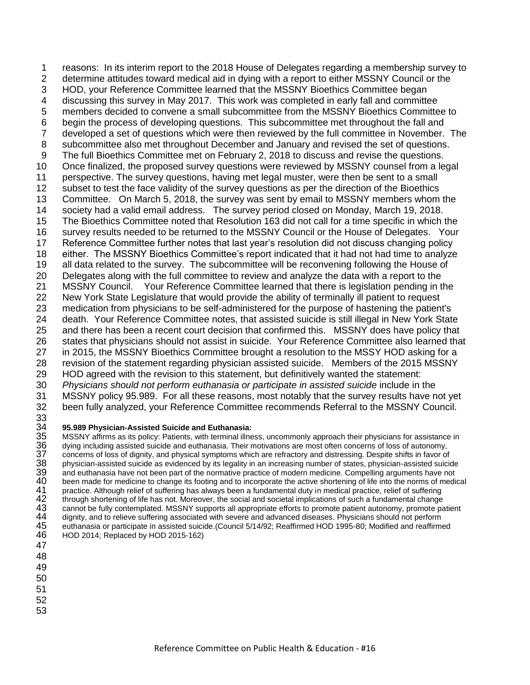reasons: In its interim report to the 2018 House of Delegates regarding a membership survey to determine attitudes toward medical aid in dying with a report to either MSSNY Council or the HOD, your Reference Committee learned that the MSSNY Bioethics Committee began discussing this survey in May 2017. This work was completed in early fall and committee members decided to convene a small subcommittee from the MSSNY Bioethics Committee to begin the process of developing questions. This subcommittee met throughout the fall and developed a set of questions which were then reviewed by the full committee in November. The subcommittee also met throughout December and January and revised the set of questions. The full Bioethics Committee met on February 2, 2018 to discuss and revise the questions. Once finalized, the proposed survey questions were reviewed by MSSNY counsel from a legal perspective. The survey questions, having met legal muster, were then be sent to a small subset to test the face validity of the survey questions as per the direction of the Bioethics Committee. On March 5, 2018, the survey was sent by email to MSSNY members whom the society had a valid email address. The survey period closed on Monday, March 19, 2018. The Bioethics Committee noted that Resolution 163 did not call for a time specific in which the survey results needed to be returned to the MSSNY Council or the House of Delegates. Your Reference Committee further notes that last year's resolution did not discuss changing policy either. The MSSNY Bioethics Committee's report indicated that it had not had time to analyze all data related to the survey. The subcommittee will be reconvening following the House of Delegates along with the full committee to review and analyze the data with a report to the MSSNY Council. Your Reference Committee learned that there is legislation pending in the New York State Legislature that would provide the ability of terminally ill patient to request medication from physicians to be self-administered for the purpose of hastening the patient's death. Your Reference Committee notes, that assisted suicide is still illegal in New York State and there has been a recent court decision that confirmed this. MSSNY does have policy that states that physicians should not assist in suicide. Your Reference Committee also learned that in 2015, the MSSNY Bioethics Committee brought a resolution to the MSSY HOD asking for a revision of the statement regarding physician assisted suicide. Members of the 2015 MSSNY HOD agreed with the revision to this statement, but definitively wanted the statement: *Physicians should not perform euthanasia or participate in assisted suicide* include in the MSSNY policy 95.989. For all these reasons, most notably that the survey results have not yet been fully analyzed, your Reference Committee recommends Referral to the MSSNY Council.

# 33<br>34

34 **95.989 Physician-Assisted Suicide and Euthanasia:**<br>35 MSSNY affirms as its policy: Patients, with terminal illne<br>36 dying including assisted suicide and euthanasia. Their n<br>37 concerns of loss of dignity, and physical MSSNY affirms as its policy: Patients, with terminal illness, uncommonly approach their physicians for assistance in dying including assisted suicide and euthanasia. Their motivations are most often concerns of loss of autonomy, 37 concerns of loss of dignity, and physical symptoms which are refractory and distressing. Despite shifts in favor of<br>38 physician-assisted suicide as evidenced by its legality in an increasing number of states, physician physician-assisted suicide as evidenced by its legality in an increasing number of states, physician-assisted suicide 39 and euthanasia have not been part of the normative practice of modern medicine. Compelling arguments have not<br>40 been made for medicine to change its footing and to incorporate the active shortening of life into the nor 40 been made for medicine to change its footing and to incorporate the active shortening of life into the norms of medical<br>41 practice. Although relief of suffering has always been a fundamental duty in medical practice, r 41 practice. Although relief of suffering has always been a fundamental duty in medical practice, relief of suffering<br>42 through shortening of life has not. Moreover, the social and societal implications of such a fundamen 42 through shortening of life has not. Moreover, the social and societal implications of such a fundamental change<br>43 cannot be fully contemplated. MSSNY supports all appropriate efforts to promote patient autonomy, promot 43 cannot be fully contemplated. MSSNY supports all appropriate efforts to promote patient autonomy, promote patient 44 dignity, and to relieve suffering associated with severe and advanced diseases. Physicians should not 44 dignity, and to relieve suffering associated with severe and advanced diseases. Physicians should not perform<br>45 euthanasia or participate in assisted suicide.(Council 5/14/92; Reaffirmed HOD 1995-80; Modified and reaff euthanasia or participate in assisted suicide.(Council 5/14/92; Reaffirmed HOD 1995-80; Modified and reaffirmed HOD 2014; Replaced by HOD 2015-162)

- 
- 
- 
- 
-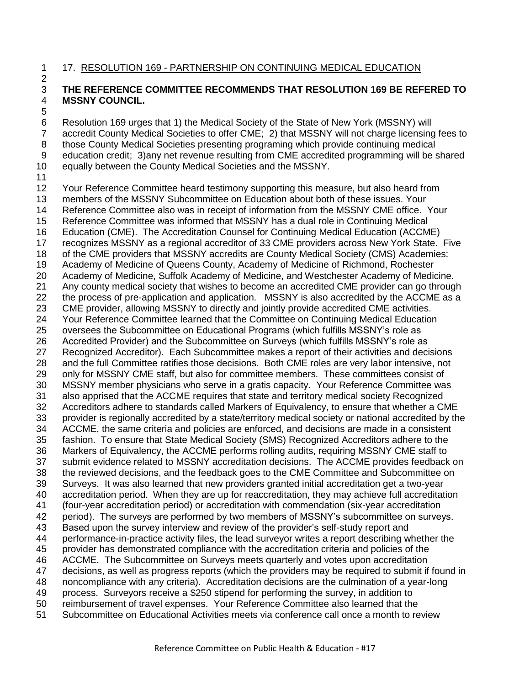#### 17. RESOLUTION 169 - PARTNERSHIP ON CONTINUING MEDICAL EDUCATION

#### **THE REFERENCE COMMITTEE RECOMMENDS THAT RESOLUTION 169 BE REFERED TO MSSNY COUNCIL.**

 Resolution 169 urges that 1) the Medical Society of the State of New York (MSSNY) will accredit County Medical Societies to offer CME; 2) that MSSNY will not charge licensing fees to those County Medical Societies presenting programing which provide continuing medical education credit; 3)any net revenue resulting from CME accredited programming will be shared equally between the County Medical Societies and the MSSNY. 

 Your Reference Committee heard testimony supporting this measure, but also heard from members of the MSSNY Subcommittee on Education about both of these issues. Your Reference Committee also was in receipt of information from the MSSNY CME office. Your Reference Committee was informed that MSSNY has a dual role in Continuing Medical Education (CME). The Accreditation Counsel for Continuing Medical Education (ACCME) recognizes MSSNY as a regional accreditor of 33 CME providers across New York State. Five of the CME providers that MSSNY accredits are County Medical Society (CMS) Academies: Academy of Medicine of Queens County, Academy of Medicine of Richmond, Rochester Academy of Medicine, Suffolk Academy of Medicine, and Westchester Academy of Medicine. Any county medical society that wishes to become an accredited CME provider can go through the process of pre-application and application. MSSNY is also accredited by the ACCME as a CME provider, allowing MSSNY to directly and jointly provide accredited CME activities. Your Reference Committee learned that the Committee on Continuing Medical Education oversees the Subcommittee on Educational Programs (which fulfills MSSNY's role as Accredited Provider) and the Subcommittee on Surveys (which fulfills MSSNY's role as Recognized Accreditor). Each Subcommittee makes a report of their activities and decisions and the full Committee ratifies those decisions. Both CME roles are very labor intensive, not only for MSSNY CME staff, but also for committee members. These committees consist of MSSNY member physicians who serve in a gratis capacity. Your Reference Committee was also apprised that the ACCME requires that state and territory medical society Recognized Accreditors adhere to standards called Markers of Equivalency, to ensure that whether a CME provider is regionally accredited by a state/territory medical society or national accredited by the ACCME, the same criteria and policies are enforced, and decisions are made in a consistent fashion. To ensure that State Medical Society (SMS) Recognized Accreditors adhere to the Markers of Equivalency, the ACCME performs rolling audits, requiring MSSNY CME staff to submit evidence related to MSSNY accreditation decisions. The ACCME provides feedback on the reviewed decisions, and the feedback goes to the CME Committee and Subcommittee on Surveys. It was also learned that new providers granted initial accreditation get a two-year accreditation period. When they are up for reaccreditation, they may achieve full accreditation (four-year accreditation period) or accreditation with commendation (six-year accreditation period). The surveys are performed by two members of MSSNY's subcommittee on surveys. Based upon the survey interview and review of the provider's self-study report and performance-in-practice activity files, the lead surveyor writes a report describing whether the provider has demonstrated compliance with the accreditation criteria and policies of the ACCME. The Subcommittee on Surveys meets quarterly and votes upon accreditation decisions, as well as progress reports (which the providers may be required to submit if found in noncompliance with any criteria). Accreditation decisions are the culmination of a year-long process. Surveyors receive a \$250 stipend for performing the survey, in addition to reimbursement of travel expenses. Your Reference Committee also learned that the Subcommittee on Educational Activities meets via conference call once a month to review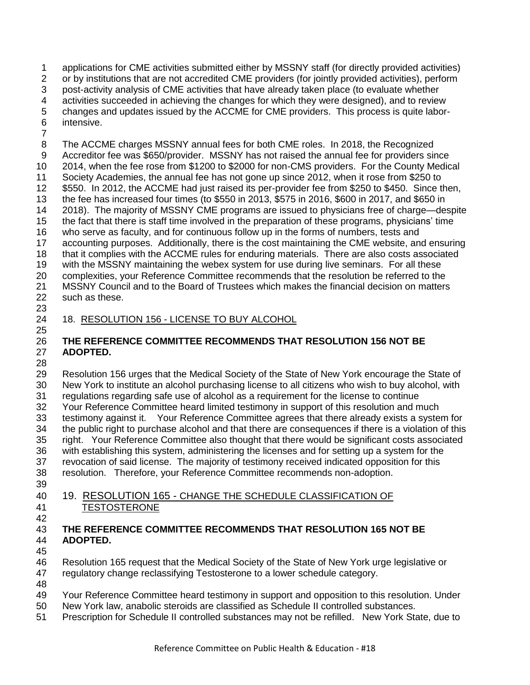applications for CME activities submitted either by MSSNY staff (for directly provided activities) or by institutions that are not accredited CME providers (for jointly provided activities), perform post-activity analysis of CME activities that have already taken place (to evaluate whether activities succeeded in achieving the changes for which they were designed), and to review changes and updates issued by the ACCME for CME providers. This process is quite labor-intensive.

 The ACCME charges MSSNY annual fees for both CME roles. In 2018, the Recognized Accreditor fee was \$650/provider. MSSNY has not raised the annual fee for providers since 2014, when the fee rose from \$1200 to \$2000 for non-CMS providers. For the County Medical Society Academies, the annual fee has not gone up since 2012, when it rose from \$250 to \$550. In 2012, the ACCME had just raised its per-provider fee from \$250 to \$450. Since then, the fee has increased four times (to \$550 in 2013, \$575 in 2016, \$600 in 2017, and \$650 in 2018). The majority of MSSNY CME programs are issued to physicians free of charge—despite the fact that there is staff time involved in the preparation of these programs, physicians' time who serve as faculty, and for continuous follow up in the forms of numbers, tests and accounting purposes. Additionally, there is the cost maintaining the CME website, and ensuring that it complies with the ACCME rules for enduring materials. There are also costs associated with the MSSNY maintaining the webex system for use during live seminars. For all these complexities, your Reference Committee recommends that the resolution be referred to the MSSNY Council and to the Board of Trustees which makes the financial decision on matters such as these.

#### 18. RESOLUTION 156 - LICENSE TO BUY ALCOHOL

## **THE REFERENCE COMMITTEE RECOMMENDS THAT RESOLUTION 156 NOT BE ADOPTED.**

 Resolution 156 urges that the Medical Society of the State of New York encourage the State of New York to institute an alcohol purchasing license to all citizens who wish to buy alcohol, with regulations regarding safe use of alcohol as a requirement for the license to continue Your Reference Committee heard limited testimony in support of this resolution and much testimony against it. Your Reference Committee agrees that there already exists a system for the public right to purchase alcohol and that there are consequences if there is a violation of this right. Your Reference Committee also thought that there would be significant costs associated with establishing this system, administering the licenses and for setting up a system for the revocation of said license. The majority of testimony received indicated opposition for this resolution. Therefore, your Reference Committee recommends non-adoption.

- 19. RESOLUTION 165 CHANGE THE SCHEDULE CLASSIFICATION OF TESTOSTERONE
- **THE REFERENCE COMMITTEE RECOMMENDS THAT RESOLUTION 165 NOT BE ADOPTED.**
- 

 Resolution 165 request that the Medical Society of the State of New York urge legislative or regulatory change reclassifying Testosterone to a lower schedule category. 

- Your Reference Committee heard testimony in support and opposition to this resolution. Under
- New York law, anabolic steroids are classified as Schedule II controlled substances.
- Prescription for Schedule II controlled substances may not be refilled. New York State, due to